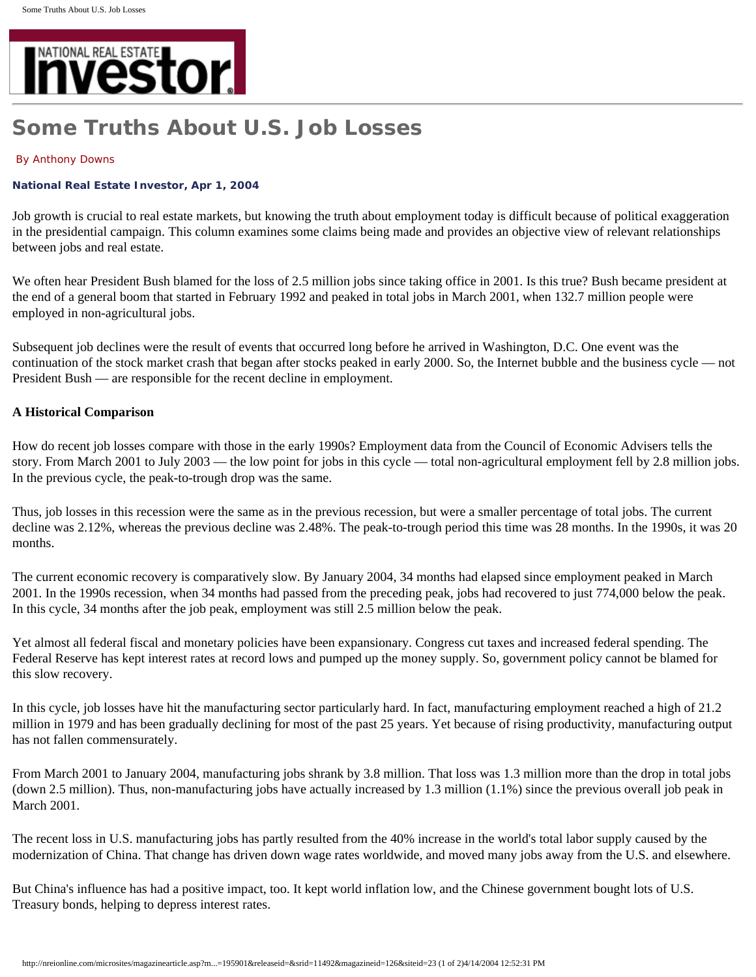

# **Some Truths About U.S. Job Losses**

#### By Anthony Downs

## **National Real Estate Investor, Apr 1, 2004**

Job growth is crucial to real estate markets, but knowing the truth about employment today is difficult because of political exaggeration in the presidential campaign. This column examines some claims being made and provides an objective view of relevant relationships between jobs and real estate.

We often hear President Bush blamed for the loss of 2.5 million jobs since taking office in 2001. Is this true? Bush became president at the end of a general boom that started in February 1992 and peaked in total jobs in March 2001, when 132.7 million people were employed in non-agricultural jobs.

Subsequent job declines were the result of events that occurred long before he arrived in Washington, D.C. One event was the continuation of the stock market crash that began after stocks peaked in early 2000. So, the Internet bubble and the business cycle — not President Bush — are responsible for the recent decline in employment.

# **A Historical Comparison**

How do recent job losses compare with those in the early 1990s? Employment data from the Council of Economic Advisers tells the story. From March 2001 to July 2003 — the low point for jobs in this cycle — total non-agricultural employment fell by 2.8 million jobs. In the previous cycle, the peak-to-trough drop was the same.

Thus, job losses in this recession were the same as in the previous recession, but were a smaller percentage of total jobs. The current decline was 2.12%, whereas the previous decline was 2.48%. The peak-to-trough period this time was 28 months. In the 1990s, it was 20 months.

The current economic recovery is comparatively slow. By January 2004, 34 months had elapsed since employment peaked in March 2001. In the 1990s recession, when 34 months had passed from the preceding peak, jobs had recovered to just 774,000 below the peak. In this cycle, 34 months after the job peak, employment was still 2.5 million below the peak.

Yet almost all federal fiscal and monetary policies have been expansionary. Congress cut taxes and increased federal spending. The Federal Reserve has kept interest rates at record lows and pumped up the money supply. So, government policy cannot be blamed for this slow recovery.

In this cycle, job losses have hit the manufacturing sector particularly hard. In fact, manufacturing employment reached a high of 21.2 million in 1979 and has been gradually declining for most of the past 25 years. Yet because of rising productivity, manufacturing output has not fallen commensurately.

From March 2001 to January 2004, manufacturing jobs shrank by 3.8 million. That loss was 1.3 million more than the drop in total jobs (down 2.5 million). Thus, non-manufacturing jobs have actually increased by 1.3 million (1.1%) since the previous overall job peak in March 2001.

The recent loss in U.S. manufacturing jobs has partly resulted from the 40% increase in the world's total labor supply caused by the modernization of China. That change has driven down wage rates worldwide, and moved many jobs away from the U.S. and elsewhere.

But China's influence has had a positive impact, too. It kept world inflation low, and the Chinese government bought lots of U.S. Treasury bonds, helping to depress interest rates.